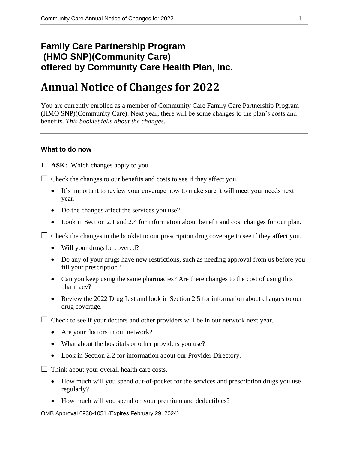# **Family Care Partnership Program (HMO SNP)(Community Care) offered by Community Care Health Plan, Inc.**

# **Annual Notice of Changes for 2022**

You are currently enrolled as a member of Community Care Family Care Partnership Program (HMO SNP)(Community Care). Next year, there will be some changes to the plan's costs and benefits*. This booklet tells about the changes.*

#### **What to do now**

**1. ASK:** Which changes apply to you

 $\Box$  Check the changes to our benefits and costs to see if they affect you.

- It's important to review your coverage now to make sure it will meet your needs next year.
- Do the changes affect the services you use?
- Look in Section 2.1 and 2.4 for information about benefit and cost changes for our plan.

 $\Box$  Check the changes in the booklet to our prescription drug coverage to see if they affect you.

- Will your drugs be covered?
- Do any of your drugs have new restrictions, such as needing approval from us before you fill your prescription?
- Can you keep using the same pharmacies? Are there changes to the cost of using this pharmacy?
- Review the 2022 Drug List and look in Section 2.5 for information about changes to our drug coverage.

 $\Box$  Check to see if your doctors and other providers will be in our network next year.

- Are your doctors in our network?
- What about the hospitals or other providers you use?
- Look in Section 2.2 for information about our Provider Directory.

 $\Box$  Think about your overall health care costs.

- How much will you spend out-of-pocket for the services and prescription drugs you use regularly?
- How much will you spend on your premium and deductibles?

OMB Approval 0938-1051 (Expires February 29, 2024)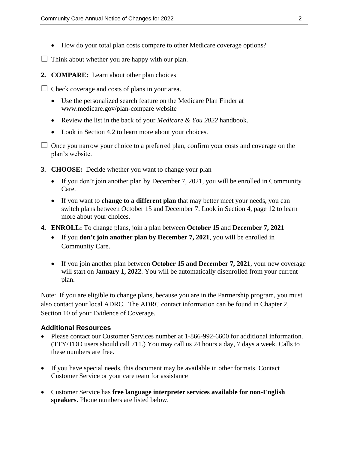- How do your total plan costs compare to other Medicare coverage options?
- $\Box$  Think about whether you are happy with our plan.
- **2. COMPARE:** Learn about other plan choices
- $\Box$  Check coverage and costs of plans in your area.
	- Use the personalized search feature on the Medicare Plan Finder at [www.medicare.gov/plan-compare](http://www.medicare.gov/plan-compare) website
	- Review the list in the back of your *Medicare & You 2022* handbook.
	- Look in Section 4.2 to learn more about your choices.
- $\Box$  Once you narrow your choice to a preferred plan, confirm your costs and coverage on the plan's website.
- **3. CHOOSE:** Decide whether you want to change your plan
	- If you don't join another plan by December 7, 2021, you will be enrolled in Community Care.
	- If you want to **change to a different plan** that may better meet your needs, you can switch plans between October 15 and December 7. Look in Section 4, page 12 to learn more about your choices.
- **4. ENROLL:** To change plans, join a plan between **October 15** and **December 7, 2021**
	- If you **don't join another plan by December 7, 2021**, you will be enrolled in Community Care.
	- If you join another plan between **October 15 and December 7, 2021**, your new coverage will start on J**anuary 1, 2022**. You will be automatically disenrolled from your current plan.

Note: If you are eligible to change plans, because you are in the Partnership program, you must also contact your local ADRC. The ADRC contact information can be found in Chapter 2, Section 10 of your Evidence of Coverage.

#### **Additional Resources**

- Please contact our Customer Services number at 1-866-992-6600 for additional information. (TTY/TDD users should call 711.) You may call us 24 hours a day, 7 days a week. Calls to these numbers are free.
- If you have special needs, this document may be available in other formats. Contact Customer Service or your care team for assistance
- Customer Service has **free language interpreter services available for non-English speakers.** Phone numbers are listed below.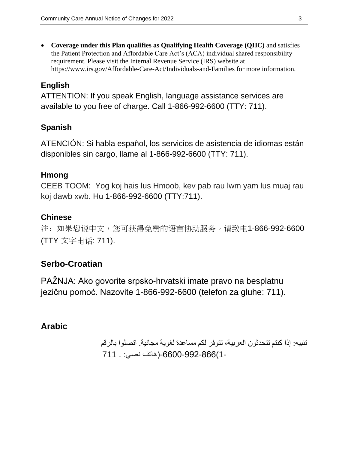**Coverage under this Plan qualifies as Qualifying Health Coverage (QHC)** and satisfies the Patient Protection and Affordable Care Act's (ACA) individual shared responsibility requirement. Please visit the Internal Revenue Service (IRS) website at <https://www.irs.gov/Affordable-Care-Act/Individuals-and-Families> for more information.

## **English**

ATTENTION: If you speak English, language assistance services are available to you free of charge. Call 1-866-992-6600 (TTY: 711).

## **Spanish**

ATENCIÓN: Si habla español, los servicios de asistencia de idiomas están disponibles sin cargo, llame al 1-866-992-6600 (TTY: 711).

## **Hmong**

CEEB TOOM: Yog koj hais lus Hmoob, kev pab rau lwm yam lus muaj rau koj dawb xwb. Hu 1-866-992-6600 (TTY:711).

## **Chinese**

注:如果您说中文,您可获得免费的语言协助服务。请致电1-866-992-6600 (TTY 文字电话: 711).

## **Serbo-Croatian**

PAŽNJA: Ako govorite srpsko-hrvatski imate pravo na besplatnu jezičnu pomoć. Nazovite 1-866-992-6600 (telefon za gluhe: 711).

## **Arabic**

تنبيه: إذا كنتم تتحدثون العربية، تتوفر لكم مساعدة لغوية مجانية. اتصلوا بالرقم 1-)-6600-992-866)هاتف نصي: . 711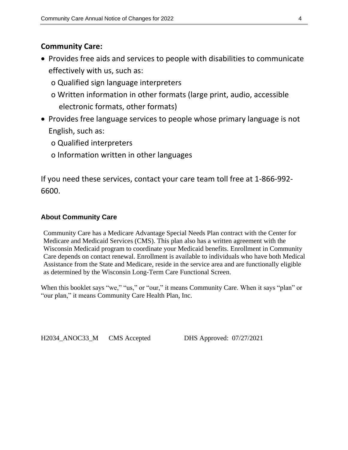## **Community Care:**

- Provides free aids and services to people with disabilities to communicate effectively with us, such as:
	- o Qualified sign language interpreters
	- o Written information in other formats (large print, audio, accessible electronic formats, other formats)
- Provides free language services to people whose primary language is not English, such as:
	- o Qualified interpreters
	- o Information written in other languages

If you need these services, contact your care team toll free at 1-866-992- 6600.

## **About Community Care**

Community Care has a Medicare Advantage Special Needs Plan contract with the Center for Medicare and Medicaid Services (CMS). This plan also has a written agreement with the Wisconsin Medicaid program to coordinate your Medicaid benefits. Enrollment in Community Care depends on contact renewal. Enrollment is available to individuals who have both Medical Assistance from the State and Medicare, reside in the service area and are functionally eligible as determined by the Wisconsin Long-Term Care Functional Screen.

When this booklet says "we," "us," or "our," it means Community Care. When it says "plan" or "our plan," it means Community Care Health Plan, Inc.

H2034\_ANOC33\_M CMS Accepted DHS Approved: 07/27/2021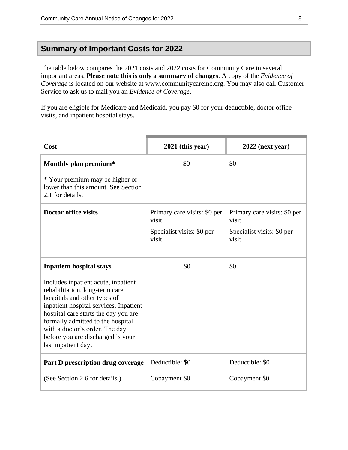### **Summary of Important Costs for 2022**

The table below compares the 2021 costs and 2022 costs for Community Care in several important areas. **Please note this is only a summary of changes**. A copy of the *Evidence of Coverage* is located on our website at www.communitycareinc.org. You may also call Customer Service to ask us to mail you an *Evidence of Coverage*.

If you are eligible for Medicare and Medicaid, you pay \$0 for your deductible, doctor office visits, and inpatient hospital stays.

| Cost                                                                                                                                                                                                                                                                                                                       | $2021$ (this year)                    | $2022$ (next year)                    |
|----------------------------------------------------------------------------------------------------------------------------------------------------------------------------------------------------------------------------------------------------------------------------------------------------------------------------|---------------------------------------|---------------------------------------|
| Monthly plan premium*                                                                                                                                                                                                                                                                                                      | \$0                                   | \$0                                   |
| * Your premium may be higher or<br>lower than this amount. See Section<br>2.1 for details.                                                                                                                                                                                                                                 |                                       |                                       |
| <b>Doctor office visits</b>                                                                                                                                                                                                                                                                                                | Primary care visits: \$0 per<br>visit | Primary care visits: \$0 per<br>visit |
|                                                                                                                                                                                                                                                                                                                            | Specialist visits: \$0 per<br>visit   | Specialist visits: \$0 per<br>visit   |
| <b>Inpatient hospital stays</b>                                                                                                                                                                                                                                                                                            | \$0                                   | \$0                                   |
| Includes inpatient acute, inpatient<br>rehabilitation, long-term care<br>hospitals and other types of<br>inpatient hospital services. Inpatient<br>hospital care starts the day you are<br>formally admitted to the hospital<br>with a doctor's order. The day<br>before you are discharged is your<br>last inpatient day. |                                       |                                       |
| Part D prescription drug coverage                                                                                                                                                                                                                                                                                          | Deductible: \$0                       | Deductible: \$0                       |
| (See Section 2.6 for details.)                                                                                                                                                                                                                                                                                             | Copayment \$0                         | Copayment \$0                         |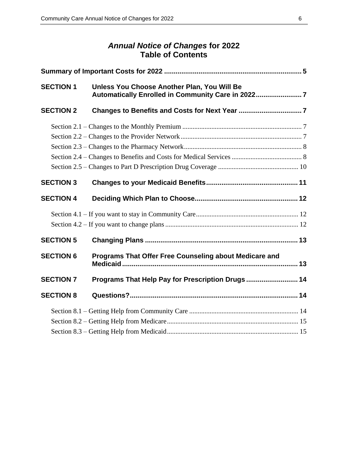### *Annual Notice of Changes* **for 2022 Table of Contents**

| <b>SECTION 1</b> | Unless You Choose Another Plan, You Will Be<br>Automatically Enrolled in Community Care in 20227 |  |
|------------------|--------------------------------------------------------------------------------------------------|--|
| <b>SECTION 2</b> |                                                                                                  |  |
|                  |                                                                                                  |  |
|                  |                                                                                                  |  |
|                  |                                                                                                  |  |
|                  |                                                                                                  |  |
|                  |                                                                                                  |  |
| <b>SECTION 3</b> |                                                                                                  |  |
| <b>SECTION 4</b> |                                                                                                  |  |
|                  |                                                                                                  |  |
|                  |                                                                                                  |  |
| <b>SECTION 5</b> |                                                                                                  |  |
| <b>SECTION 6</b> | Programs That Offer Free Counseling about Medicare and                                           |  |
| <b>SECTION 7</b> | Programs That Help Pay for Prescription Drugs  14                                                |  |
| <b>SECTION 8</b> |                                                                                                  |  |
|                  |                                                                                                  |  |
|                  |                                                                                                  |  |
|                  |                                                                                                  |  |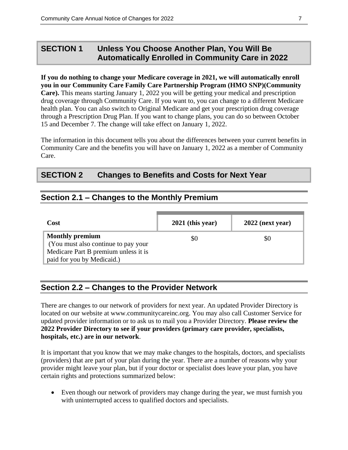## **SECTION 1 Unless You Choose Another Plan, You Will Be Automatically Enrolled in Community Care in 2022**

**If you do nothing to change your Medicare coverage in 2021, we will automatically enroll you in our Community Care Family Care Partnership Program (HMO SNP)(Community Care).** This means starting January 1, 2022 you will be getting your medical and prescription drug coverage through Community Care. If you want to, you can change to a different Medicare health plan. You can also switch to Original Medicare and get your prescription drug coverage through a Prescription Drug Plan. If you want to change plans, you can do so between October 15 and December 7. The change will take effect on January 1, 2022.

The information in this document tells you about the differences between your current benefits in Community Care and the benefits you will have on January 1, 2022 as a member of Community Care.

### **SECTION 2 Changes to Benefits and Costs for Next Year**

### **Section 2.1 – Changes to the Monthly Premium**

| Cost                                                                                                                                | $2021$ (this year) | $2022$ (next year) |
|-------------------------------------------------------------------------------------------------------------------------------------|--------------------|--------------------|
| <b>Monthly premium</b><br>(You must also continue to pay your<br>Medicare Part B premium unless it is<br>paid for you by Medicaid.) | \$0                | \$0                |

### **Section 2.2 – Changes to the Provider Network**

There are changes to our network of providers for next year. An updated Provider Directory is located on our website at www.communitycareinc.org. You may also call Customer Service for updated provider information or to ask us to mail you a Provider Directory. **Please review the 2022 Provider Directory to see if your providers (primary care provider, specialists, hospitals, etc.) are in our network**.

It is important that you know that we may make changes to the hospitals, doctors, and specialists (providers) that are part of your plan during the year. There are a number of reasons why your provider might leave your plan, but if your doctor or specialist does leave your plan, you have certain rights and protections summarized below:

 Even though our network of providers may change during the year, we must furnish you with uninterrupted access to qualified doctors and specialists.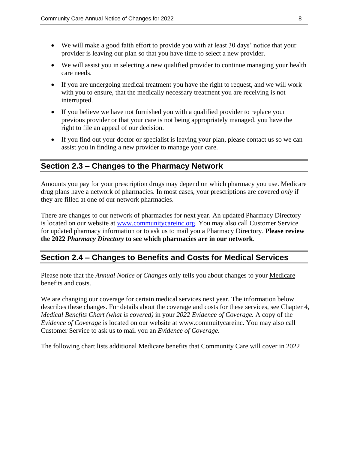- We will make a good faith effort to provide you with at least 30 days' notice that your provider is leaving our plan so that you have time to select a new provider.
- We will assist you in selecting a new qualified provider to continue managing your health care needs.
- If you are undergoing medical treatment you have the right to request, and we will work with you to ensure, that the medically necessary treatment you are receiving is not interrupted.
- If you believe we have not furnished you with a qualified provider to replace your previous provider or that your care is not being appropriately managed, you have the right to file an appeal of our decision.
- If you find out your doctor or specialist is leaving your plan, please contact us so we can assist you in finding a new provider to manage your care.

### **Section 2.3 – Changes to the Pharmacy Network**

Amounts you pay for your prescription drugs may depend on which pharmacy you use. Medicare drug plans have a network of pharmacies. In most cases, your prescriptions are covered *only* if they are filled at one of our network pharmacies.

There are changes to our network of pharmacies for next year. An updated Pharmacy Directory is located on our website at [www.communitycareinc.org.](http://www.communitycareinc.org/) You may also call Customer Service for updated pharmacy information or to ask us to mail you a Pharmacy Directory. **Please review the 2022** *Pharmacy Directory* **to see which pharmacies are in our network**.

### **Section 2.4 – Changes to Benefits and Costs for Medical Services**

Please note that the *Annual Notice of Changes* only tells you about changes to your Medicare benefits and costs.

We are changing our coverage for certain medical services next year. The information below describes these changes. For details about the coverage and costs for these services, see Chapter 4, *Medical Benefits Chart (what is covered)* in your *2022 Evidence of Coverage.* A copy of the *Evidence of Coverage* is located on our website at www.commuitycareinc. You may also call Customer Service to ask us to mail you an *Evidence of Coverage.*

The following chart lists additional Medicare benefits that Community Care will cover in 2022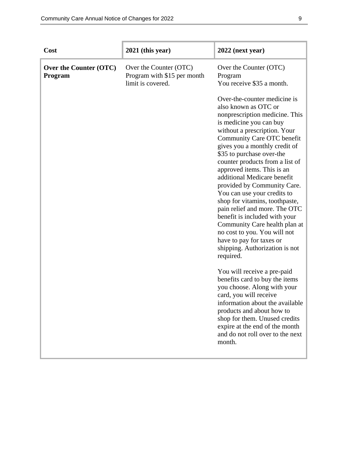| Cost                              | 2021 (this year)                                                           | $2022$ (next year)                                                                                                                                                                                                                                                                                                                                                                                                                                                                                                                                                                                                                                          |
|-----------------------------------|----------------------------------------------------------------------------|-------------------------------------------------------------------------------------------------------------------------------------------------------------------------------------------------------------------------------------------------------------------------------------------------------------------------------------------------------------------------------------------------------------------------------------------------------------------------------------------------------------------------------------------------------------------------------------------------------------------------------------------------------------|
| Over the Counter (OTC)<br>Program | Over the Counter (OTC)<br>Program with \$15 per month<br>limit is covered. | Over the Counter (OTC)<br>Program<br>You receive \$35 a month.                                                                                                                                                                                                                                                                                                                                                                                                                                                                                                                                                                                              |
|                                   |                                                                            | Over-the-counter medicine is<br>also known as OTC or<br>nonprescription medicine. This<br>is medicine you can buy<br>without a prescription. Your<br>Community Care OTC benefit<br>gives you a monthly credit of<br>\$35 to purchase over-the<br>counter products from a list of<br>approved items. This is an<br>additional Medicare benefit<br>provided by Community Care.<br>You can use your credits to<br>shop for vitamins, toothpaste,<br>pain relief and more. The OTC<br>benefit is included with your<br>Community Care health plan at<br>no cost to you. You will not<br>have to pay for taxes or<br>shipping. Authorization is not<br>required. |
|                                   |                                                                            | You will receive a pre-paid<br>benefits card to buy the items<br>you choose. Along with your<br>card, you will receive<br>information about the available<br>products and about how to<br>shop for them. Unused credits<br>expire at the end of the month<br>and do not roll over to the next<br>month.                                                                                                                                                                                                                                                                                                                                                     |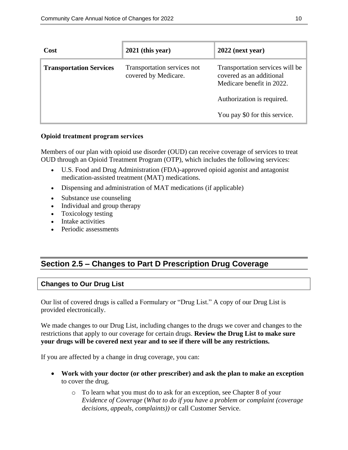| Cost                           | $2021$ (this year)                                  | $2022$ (next year)                                                                                                                                      |
|--------------------------------|-----------------------------------------------------|---------------------------------------------------------------------------------------------------------------------------------------------------------|
| <b>Transportation Services</b> | Transportation services not<br>covered by Medicare. | Transportation services will be<br>covered as an additional<br>Medicare benefit in 2022.<br>Authorization is required.<br>You pay \$0 for this service. |
|                                |                                                     |                                                                                                                                                         |

#### **Opioid treatment program services**

Members of our plan with opioid use disorder (OUD) can receive coverage of services to treat OUD through an Opioid Treatment Program (OTP), which includes the following services:

- U.S. Food and Drug Administration (FDA)-approved opioid agonist and antagonist medication-assisted treatment (MAT) medications.
- Dispensing and administration of MAT medications (if applicable)
- Substance use counseling
- Individual and group therapy
- Toxicology testing
- Intake activities
- Periodic assessments

## **Section 2.5 – Changes to Part D Prescription Drug Coverage**

### **Changes to Our Drug List**

Our list of covered drugs is called a Formulary or "Drug List." A copy of our Drug List is provided electronically.

We made changes to our Drug List, including changes to the drugs we cover and changes to the restrictions that apply to our coverage for certain drugs. **Review the Drug List to make sure your drugs will be covered next year and to see if there will be any restrictions.**

If you are affected by a change in drug coverage, you can:

- **Work with your doctor (or other prescriber) and ask the plan to make an exception** to cover the drug.
	- o To learn what you must do to ask for an exception, see Chapter 8 of your *E*v*idence of Coverage* (*What to do if you have a problem or complaint (coverage decisions, appeals, complaints))* or call Customer Service.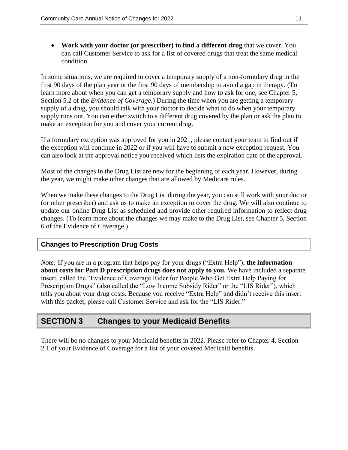**Work with your doctor (or prescriber) to find a different drug** that we cover. You can call Customer Service to ask for a list of covered drugs that treat the same medical condition.

In some situations, we are required to cover a temporary supply of a non-formulary drug in the first 90 days of the plan year or the first 90 days of membership to avoid a gap in therapy. (To learn more about when you can get a temporary supply and how to ask for one, see Chapter 5, Section 5.2 of the *Evidence of Coverage.*) During the time when you are getting a temporary supply of a drug, you should talk with your doctor to decide what to do when your temporary supply runs out. You can either switch to a different drug covered by the plan or ask the plan to make an exception for you and cover your current drug.

If a formulary exception was approved for you in 2021, please contact your team to find out if the exception will continue in 2022 or if you will have to submit a new exception request. You can also look at the approval notice you received which lists the expiration date of the approval.

Most of the changes in the Drug List are new for the beginning of each year. However, during the year, we might make other changes that are allowed by Medicare rules.

When we make these changes to the Drug List during the year, you can still work with your doctor (or other prescriber) and ask us to make an exception to cover the drug. We will also continue to update our online Drug List as scheduled and provide other required information to reflect drug changes. (To learn more about the changes we may make to the Drug List, see Chapter 5, Section 6 of the Evidence of Coverage.)

#### **Changes to Prescription Drug Costs**

*Note:* If you are in a program that helps pay for your drugs ("Extra Help"), **the information about costs for Part D prescription drugs does not apply to you.** We have included a separate insert, called the "Evidence of Coverage Rider for People Who Get Extra Help Paying for Prescription Drugs" (also called the "Low Income Subsidy Rider" or the "LIS Rider"), which tells you about your drug costs. Because you receive "Extra Help" and didn't receive this insert with this packet, please call Customer Service and ask for the "LIS Rider."

### **SECTION 3 Changes to your Medicaid Benefits**

There will be no changes to your Medicaid benefits in 2022. Please refer to Chapter 4, Section 2.1 of your Evidence of Coverage for a list of your covered Medicaid benefits.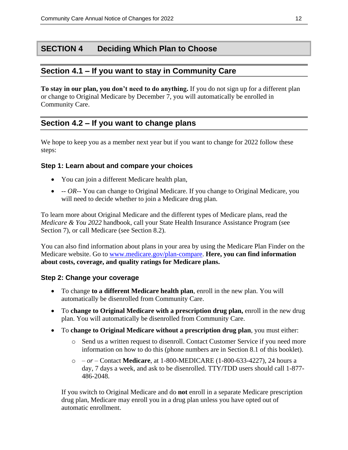## **SECTION 4 Deciding Which Plan to Choose**

### **Section 4.1 – If you want to stay in Community Care**

**To stay in our plan, you don't need to do anything.** If you do not sign up for a different plan or change to Original Medicare by December 7, you will automatically be enrolled in Community Care.

## **Section 4.2 – If you want to change plans**

We hope to keep you as a member next year but if you want to change for 2022 follow these steps:

### **Step 1: Learn about and compare your choices**

- You can join a different Medicare health plan,
- *-- OR*-- You can change to Original Medicare. If you change to Original Medicare, you will need to decide whether to join a Medicare drug plan.

To learn more about Original Medicare and the different types of Medicare plans, read the *Medicare & You 2022* handbook, call your State Health Insurance Assistance Program (see Section 7), or call Medicare (see Section 8.2).

You can also find information about plans in your area by using the Medicare Plan Finder on the Medicare website. Go to [www.medicare.gov/plan-compare.](http://www.medicare.gov/plan-compare) **Here, you can find information about costs, coverage, and quality ratings for Medicare plans.**

### **Step 2: Change your coverage**

- To change **to a different Medicare health plan**, enroll in the new plan. You will automatically be disenrolled from Community Care.
- To **change to Original Medicare with a prescription drug plan,** enroll in the new drug plan. You will automatically be disenrolled from Community Care.
- To **change to Original Medicare without a prescription drug plan**, you must either:
	- o Send us a written request to disenroll. Contact Customer Service if you need more information on how to do this (phone numbers are in Section 8.1 of this booklet).
	- o *– or –* Contact **Medicare**, at 1-800-MEDICARE (1-800-633-4227), 24 hours a day, 7 days a week, and ask to be disenrolled. TTY/TDD users should call 1-877- 486-2048.

If you switch to Original Medicare and do **not** enroll in a separate Medicare prescription drug plan, Medicare may enroll you in a drug plan unless you have opted out of automatic enrollment.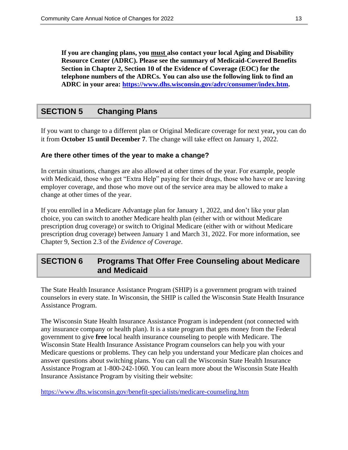**If you are changing plans, you must also contact your local Aging and Disability Resource Center (ADRC). Please see the summary of Medicaid-Covered Benefits Section in Chapter 2, Section 10 of the Evidence of Coverage (EOC) for the telephone numbers of the ADRCs. You can also use the following link to find an ADRC in your area: [https://www.dhs.wisconsin.gov/adrc/consumer/index.htm.](https://www.dhs.wisconsin.gov/adrc/consumer/index.htm)**

## **SECTION 5 Changing Plans**

If you want to change to a different plan or Original Medicare coverage for next year**,** you can do it from **October 15 until December 7**. The change will take effect on January 1, 2022.

### **Are there other times of the year to make a change?**

In certain situations, changes are also allowed at other times of the year. For example, people with Medicaid, those who get "Extra Help" paying for their drugs, those who have or are leaving employer coverage, and those who move out of the service area may be allowed to make a change at other times of the year.

If you enrolled in a Medicare Advantage plan for January 1, 2022, and don't like your plan choice, you can switch to another Medicare health plan (either with or without Medicare prescription drug coverage) or switch to Original Medicare (either with or without Medicare prescription drug coverage) between January 1 and March 31, 2022. For more information, see Chapter 9, Section 2.3 of the *Evidence of Coverage*.

## **SECTION 6 Programs That Offer Free Counseling about Medicare and Medicaid**

The State Health Insurance Assistance Program (SHIP) is a government program with trained counselors in every state. In Wisconsin, the SHIP is called the Wisconsin State Health Insurance Assistance Program.

The Wisconsin State Health Insurance Assistance Program is independent (not connected with any insurance company or health plan). It is a state program that gets money from the Federal government to give **free** local health insurance counseling to people with Medicare. The Wisconsin State Health Insurance Assistance Program counselors can help you with your Medicare questions or problems. They can help you understand your Medicare plan choices and answer questions about switching plans. You can call the Wisconsin State Health Insurance Assistance Program at 1-800-242-1060. You can learn more about the Wisconsin State Health Insurance Assistance Program by visiting their website:

<https://www.dhs.wisconsin.gov/benefit-specialists/medicare-counseling.htm>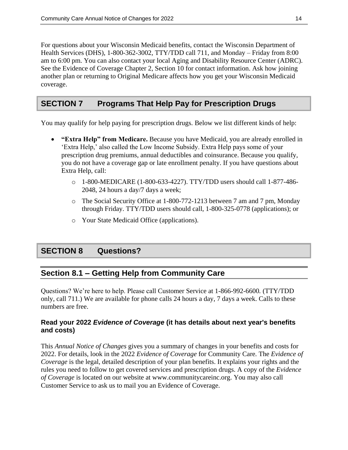For questions about your Wisconsin Medicaid benefits, contact the Wisconsin Department of Health Services (DHS), 1-800-362-3002*,* TTY/TDD call 711, and Monday – Friday from 8:00 am to 6:00 pm. You can also contact your local Aging and Disability Resource Center (ADRC). See the Evidence of Coverage Chapter 2, Section 10 for contact information. Ask how joining another plan or returning to Original Medicare affects how you get your Wisconsin Medicaid coverage.

## **SECTION 7 Programs That Help Pay for Prescription Drugs**

You may qualify for help paying for prescription drugs. Below we list different kinds of help:

- **"Extra Help" from Medicare.** Because you have Medicaid, you are already enrolled in 'Extra Help,' also called the Low Income Subsidy. Extra Help pays some of your prescription drug premiums, annual deductibles and coinsurance. Because you qualify, you do not have a coverage gap or late enrollment penalty. If you have questions about Extra Help, call:
	- o 1-800-MEDICARE (1-800-633-4227). TTY/TDD users should call 1-877-486- 2048, 24 hours a day/7 days a week;
	- o The Social Security Office at 1-800-772-1213 between 7 am and 7 pm, Monday through Friday. TTY/TDD users should call, 1-800-325-0778 (applications); or
	- o Your State Medicaid Office (applications).

## **SECTION 8 Questions?**

## **Section 8.1 – Getting Help from Community Care**

Questions? We're here to help. Please call Customer Service at 1-866-992-6600*.* (TTY/TDD only, call 711.) We are available for phone calls 24 hours a day, 7 days a week. Calls to these numbers are free.

#### **Read your 2022** *Evidence of Coverage* **(it has details about next year's benefits and costs)**

This *Annual Notice of Changes* gives you a summary of changes in your benefits and costs for 2022. For details, look in the 2022 *Evidence of Coverage* for Community Care*.* The *Evidence of Coverage* is the legal, detailed description of your plan benefits. It explains your rights and the rules you need to follow to get covered services and prescription drugs. A copy of the *Evidence of Coverage* is located on our website at www.communitycareinc.org. You may also call Customer Service to ask us to mail you an Evidence of Coverage.